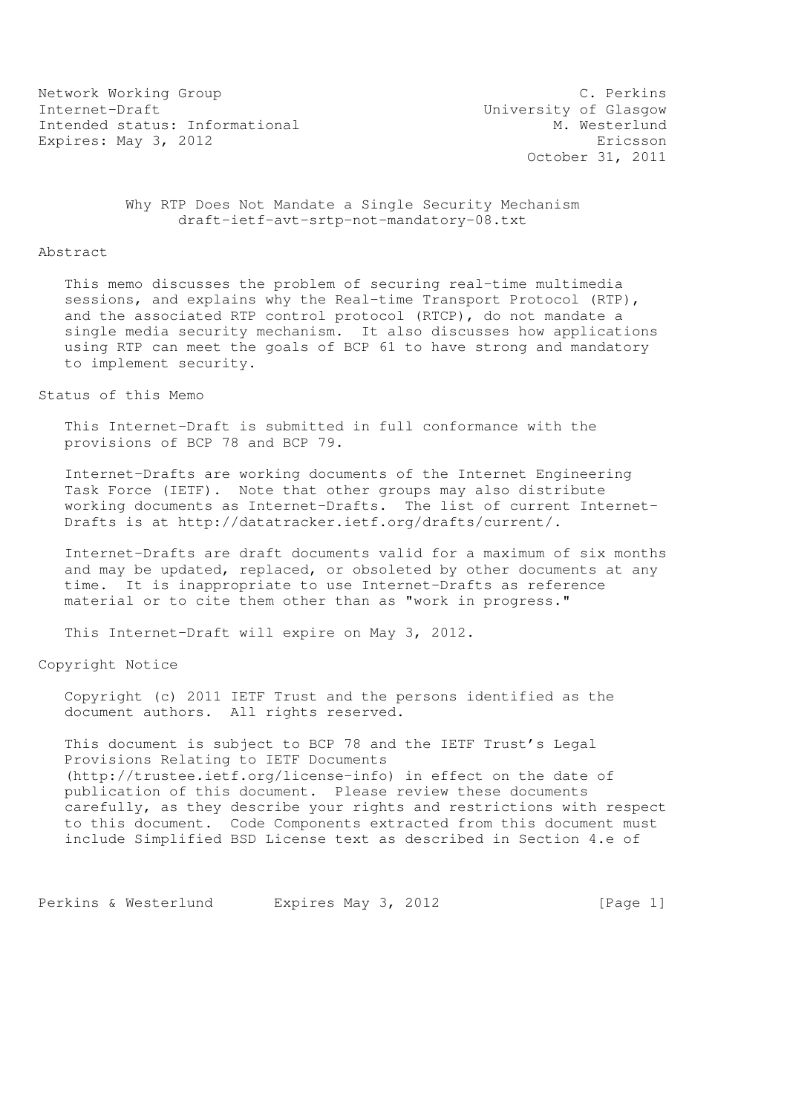Network Working Group C. Perkins Internet-Draft<br>
Intended status: Informational M. Westerlund Intended status: Informational Expires: May 3, 2012 **Expires:** May 3, 2012

October 31, 2011

 Why RTP Does Not Mandate a Single Security Mechanism draft-ietf-avt-srtp-not-mandatory-08.txt

#### Abstract

 This memo discusses the problem of securing real-time multimedia sessions, and explains why the Real-time Transport Protocol (RTP), and the associated RTP control protocol (RTCP), do not mandate a single media security mechanism. It also discusses how applications using RTP can meet the goals of BCP 61 to have strong and mandatory to implement security.

#### Status of this Memo

 This Internet-Draft is submitted in full conformance with the provisions of BCP 78 and BCP 79.

 Internet-Drafts are working documents of the Internet Engineering Task Force (IETF). Note that other groups may also distribute working documents as Internet-Drafts. The list of current Internet- Drafts is at http://datatracker.ietf.org/drafts/current/.

 Internet-Drafts are draft documents valid for a maximum of six months and may be updated, replaced, or obsoleted by other documents at any time. It is inappropriate to use Internet-Drafts as reference material or to cite them other than as "work in progress."

This Internet-Draft will expire on May 3, 2012.

Copyright Notice

 Copyright (c) 2011 IETF Trust and the persons identified as the document authors. All rights reserved.

 This document is subject to BCP 78 and the IETF Trust's Legal Provisions Relating to IETF Documents (http://trustee.ietf.org/license-info) in effect on the date of publication of this document. Please review these documents carefully, as they describe your rights and restrictions with respect to this document. Code Components extracted from this document must include Simplified BSD License text as described in Section 4.e of

Perkins & Westerlund Expires May 3, 2012 [Page 1]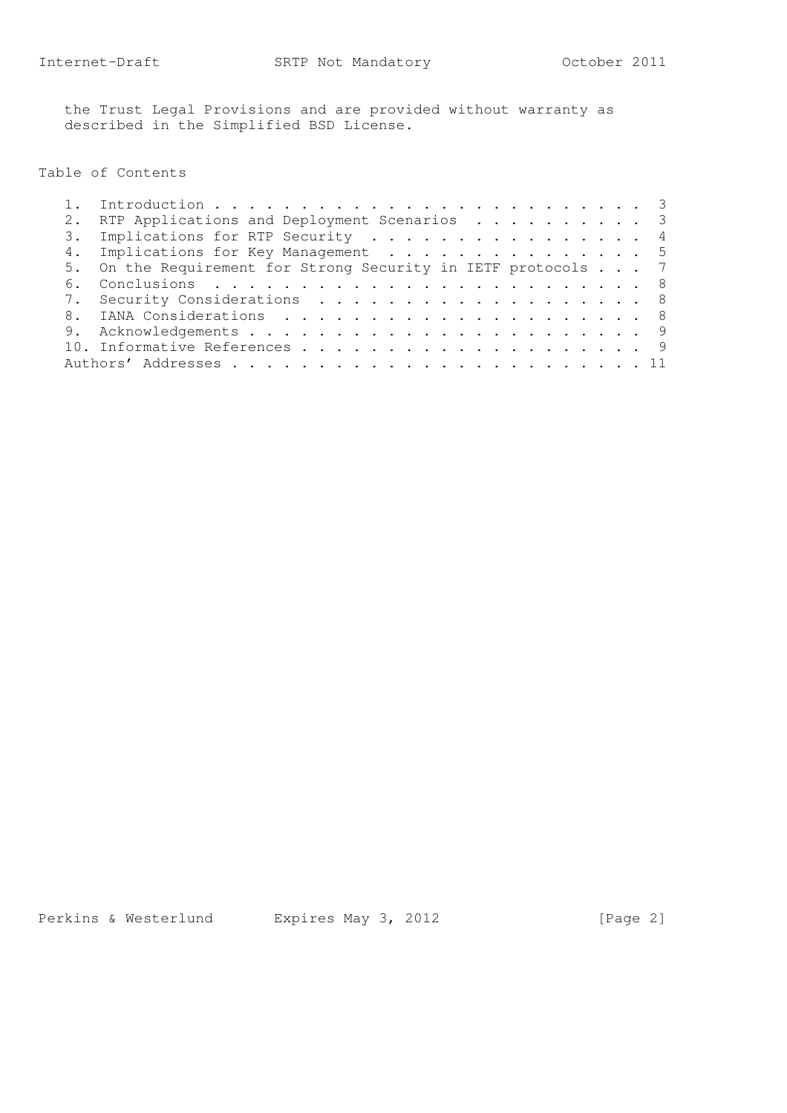the Trust Legal Provisions and are provided without warranty as described in the Simplified BSD License.

## Table of Contents

|                | RTP Applications and Deployment Scenarios 3                   |  |
|----------------|---------------------------------------------------------------|--|
|                | 3. Implications for RTP Security 4                            |  |
|                | 4. Implications for Key Management 5                          |  |
|                | 5. On the Requirement for Strong Security in IETF protocols 7 |  |
| 6 <sub>1</sub> |                                                               |  |
|                | 7. Security Considerations 8                                  |  |
|                |                                                               |  |
|                |                                                               |  |
|                |                                                               |  |
|                |                                                               |  |
|                |                                                               |  |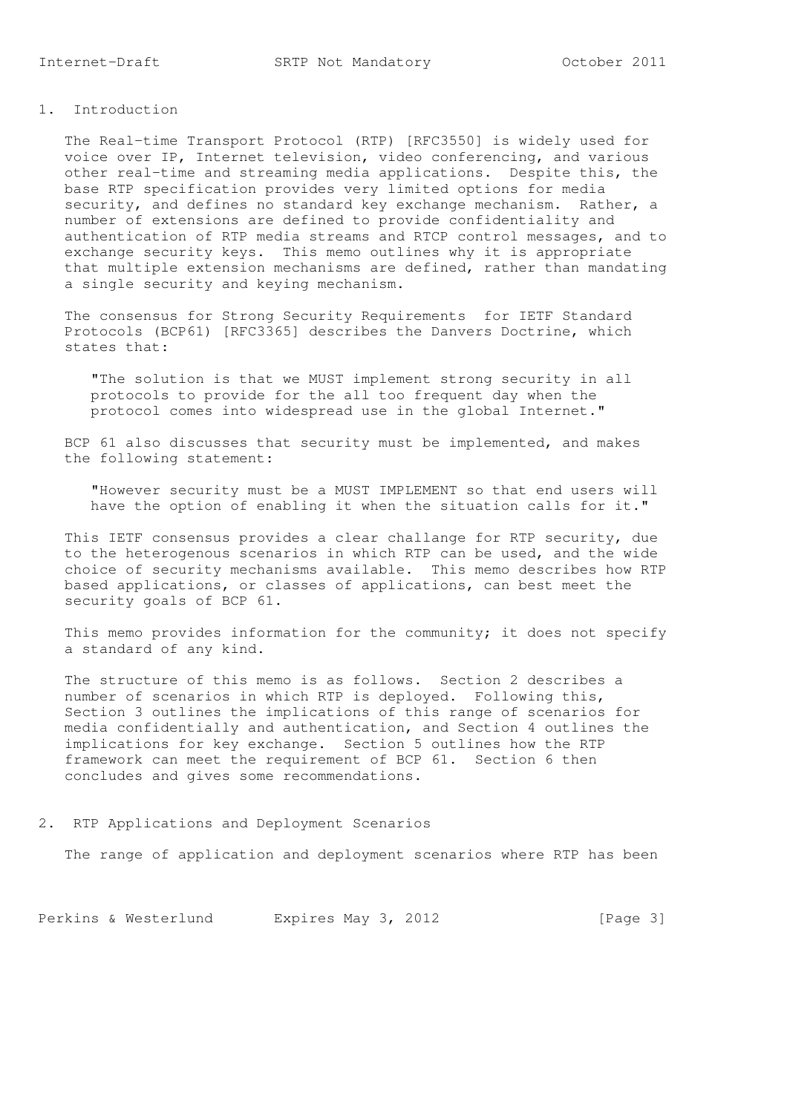# 1. Introduction

 The Real-time Transport Protocol (RTP) [RFC3550] is widely used for voice over IP, Internet television, video conferencing, and various other real-time and streaming media applications. Despite this, the base RTP specification provides very limited options for media security, and defines no standard key exchange mechanism. Rather, a number of extensions are defined to provide confidentiality and authentication of RTP media streams and RTCP control messages, and to exchange security keys. This memo outlines why it is appropriate that multiple extension mechanisms are defined, rather than mandating a single security and keying mechanism.

 The consensus for Strong Security Requirements for IETF Standard Protocols (BCP61) [RFC3365] describes the Danvers Doctrine, which states that:

 "The solution is that we MUST implement strong security in all protocols to provide for the all too frequent day when the protocol comes into widespread use in the global Internet."

 BCP 61 also discusses that security must be implemented, and makes the following statement:

 "However security must be a MUST IMPLEMENT so that end users will have the option of enabling it when the situation calls for it."

 This IETF consensus provides a clear challange for RTP security, due to the heterogenous scenarios in which RTP can be used, and the wide choice of security mechanisms available. This memo describes how RTP based applications, or classes of applications, can best meet the security goals of BCP 61.

This memo provides information for the community; it does not specify a standard of any kind.

 The structure of this memo is as follows. Section 2 describes a number of scenarios in which RTP is deployed. Following this, Section 3 outlines the implications of this range of scenarios for media confidentially and authentication, and Section 4 outlines the implications for key exchange. Section 5 outlines how the RTP framework can meet the requirement of BCP 61. Section 6 then concludes and gives some recommendations.

2. RTP Applications and Deployment Scenarios

The range of application and deployment scenarios where RTP has been

Perkins & Westerlund Expires May 3, 2012 [Page 3]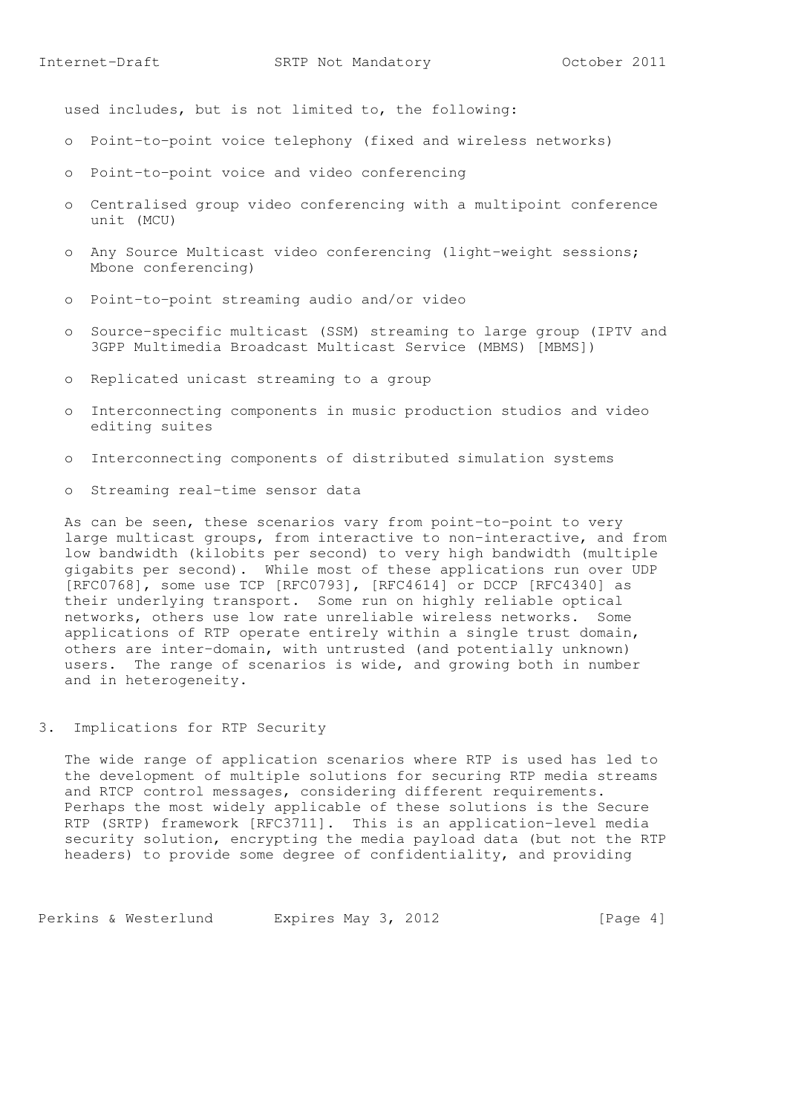used includes, but is not limited to, the following:

- o Point-to-point voice telephony (fixed and wireless networks)
- o Point-to-point voice and video conferencing
- o Centralised group video conferencing with a multipoint conference unit (MCU)
- o Any Source Multicast video conferencing (light-weight sessions; Mbone conferencing)
- o Point-to-point streaming audio and/or video
- o Source-specific multicast (SSM) streaming to large group (IPTV and 3GPP Multimedia Broadcast Multicast Service (MBMS) [MBMS])
- o Replicated unicast streaming to a group
- o Interconnecting components in music production studios and video editing suites
- o Interconnecting components of distributed simulation systems
- o Streaming real-time sensor data

 As can be seen, these scenarios vary from point-to-point to very large multicast groups, from interactive to non-interactive, and from low bandwidth (kilobits per second) to very high bandwidth (multiple gigabits per second). While most of these applications run over UDP [RFC0768], some use TCP [RFC0793], [RFC4614] or DCCP [RFC4340] as their underlying transport. Some run on highly reliable optical networks, others use low rate unreliable wireless networks. Some applications of RTP operate entirely within a single trust domain, others are inter-domain, with untrusted (and potentially unknown) users. The range of scenarios is wide, and growing both in number and in heterogeneity.

3. Implications for RTP Security

 The wide range of application scenarios where RTP is used has led to the development of multiple solutions for securing RTP media streams and RTCP control messages, considering different requirements. Perhaps the most widely applicable of these solutions is the Secure RTP (SRTP) framework [RFC3711]. This is an application-level media security solution, encrypting the media payload data (but not the RTP headers) to provide some degree of confidentiality, and providing

Perkins & Westerlund Expires May 3, 2012 [Page 4]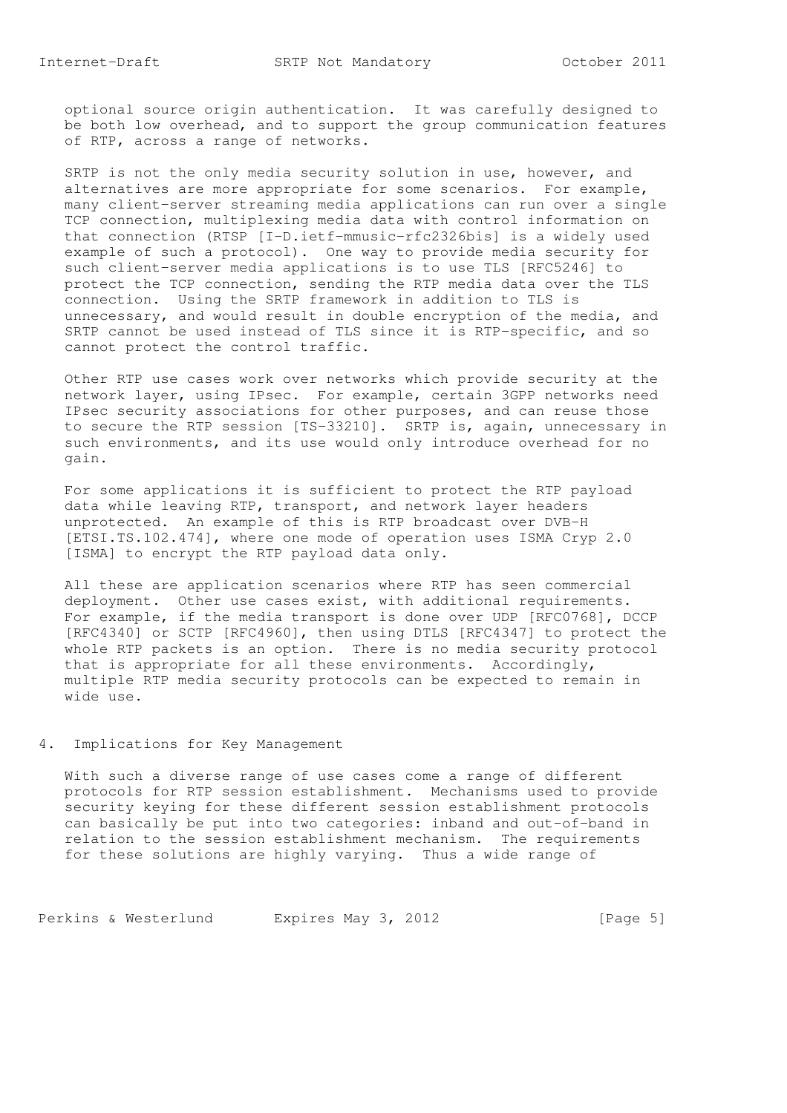optional source origin authentication. It was carefully designed to be both low overhead, and to support the group communication features of RTP, across a range of networks.

 SRTP is not the only media security solution in use, however, and alternatives are more appropriate for some scenarios. For example, many client-server streaming media applications can run over a single TCP connection, multiplexing media data with control information on that connection (RTSP [I-D.ietf-mmusic-rfc2326bis] is a widely used example of such a protocol). One way to provide media security for such client-server media applications is to use TLS [RFC5246] to protect the TCP connection, sending the RTP media data over the TLS connection. Using the SRTP framework in addition to TLS is unnecessary, and would result in double encryption of the media, and SRTP cannot be used instead of TLS since it is RTP-specific, and so cannot protect the control traffic.

 Other RTP use cases work over networks which provide security at the network layer, using IPsec. For example, certain 3GPP networks need IPsec security associations for other purposes, and can reuse those to secure the RTP session [TS-33210]. SRTP is, again, unnecessary in such environments, and its use would only introduce overhead for no gain.

 For some applications it is sufficient to protect the RTP payload data while leaving RTP, transport, and network layer headers unprotected. An example of this is RTP broadcast over DVB-H [ETSI.TS.102.474], where one mode of operation uses ISMA Cryp 2.0 [ISMA] to encrypt the RTP payload data only.

 All these are application scenarios where RTP has seen commercial deployment. Other use cases exist, with additional requirements. For example, if the media transport is done over UDP [RFC0768], DCCP [RFC4340] or SCTP [RFC4960], then using DTLS [RFC4347] to protect the whole RTP packets is an option. There is no media security protocol that is appropriate for all these environments. Accordingly, multiple RTP media security protocols can be expected to remain in wide use.

# 4. Implications for Key Management

 With such a diverse range of use cases come a range of different protocols for RTP session establishment. Mechanisms used to provide security keying for these different session establishment protocols can basically be put into two categories: inband and out-of-band in relation to the session establishment mechanism. The requirements for these solutions are highly varying. Thus a wide range of

Perkins & Westerlund Expires May 3, 2012 [Page 5]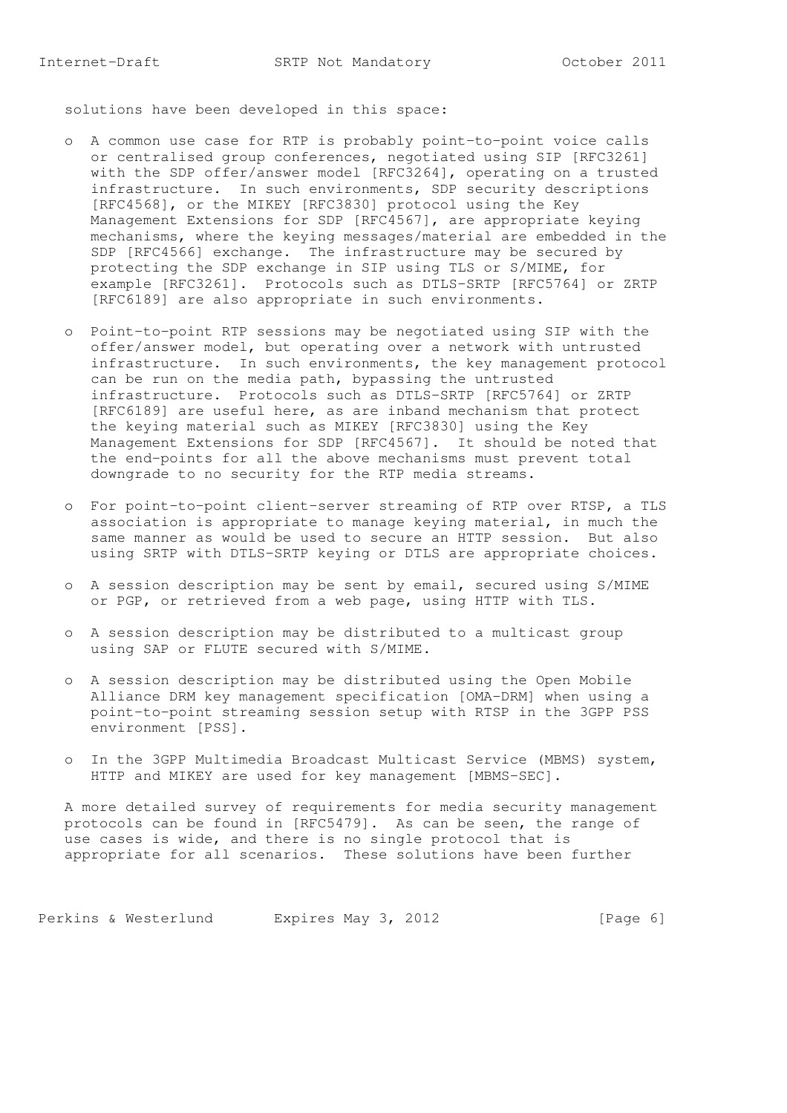solutions have been developed in this space:

- o A common use case for RTP is probably point-to-point voice calls or centralised group conferences, negotiated using SIP [RFC3261] with the SDP offer/answer model [RFC3264], operating on a trusted infrastructure. In such environments, SDP security descriptions [RFC4568], or the MIKEY [RFC3830] protocol using the Key Management Extensions for SDP [RFC4567], are appropriate keying mechanisms, where the keying messages/material are embedded in the SDP [RFC4566] exchange. The infrastructure may be secured by protecting the SDP exchange in SIP using TLS or S/MIME, for example [RFC3261]. Protocols such as DTLS-SRTP [RFC5764] or ZRTP [RFC6189] are also appropriate in such environments.
- o Point-to-point RTP sessions may be negotiated using SIP with the offer/answer model, but operating over a network with untrusted infrastructure. In such environments, the key management protocol can be run on the media path, bypassing the untrusted infrastructure. Protocols such as DTLS-SRTP [RFC5764] or ZRTP [RFC6189] are useful here, as are inband mechanism that protect the keying material such as MIKEY [RFC3830] using the Key Management Extensions for SDP [RFC4567]. It should be noted that the end-points for all the above mechanisms must prevent total downgrade to no security for the RTP media streams.
- o For point-to-point client-server streaming of RTP over RTSP, a TLS association is appropriate to manage keying material, in much the same manner as would be used to secure an HTTP session. But also using SRTP with DTLS-SRTP keying or DTLS are appropriate choices.
- o A session description may be sent by email, secured using S/MIME or PGP, or retrieved from a web page, using HTTP with TLS.
- o A session description may be distributed to a multicast group using SAP or FLUTE secured with S/MIME.
- o A session description may be distributed using the Open Mobile Alliance DRM key management specification [OMA-DRM] when using a point-to-point streaming session setup with RTSP in the 3GPP PSS environment [PSS].
- o In the 3GPP Multimedia Broadcast Multicast Service (MBMS) system, HTTP and MIKEY are used for key management [MBMS-SEC].

 A more detailed survey of requirements for media security management protocols can be found in [RFC5479]. As can be seen, the range of use cases is wide, and there is no single protocol that is appropriate for all scenarios. These solutions have been further

Perkins & Westerlund Expires May 3, 2012 [Page 6]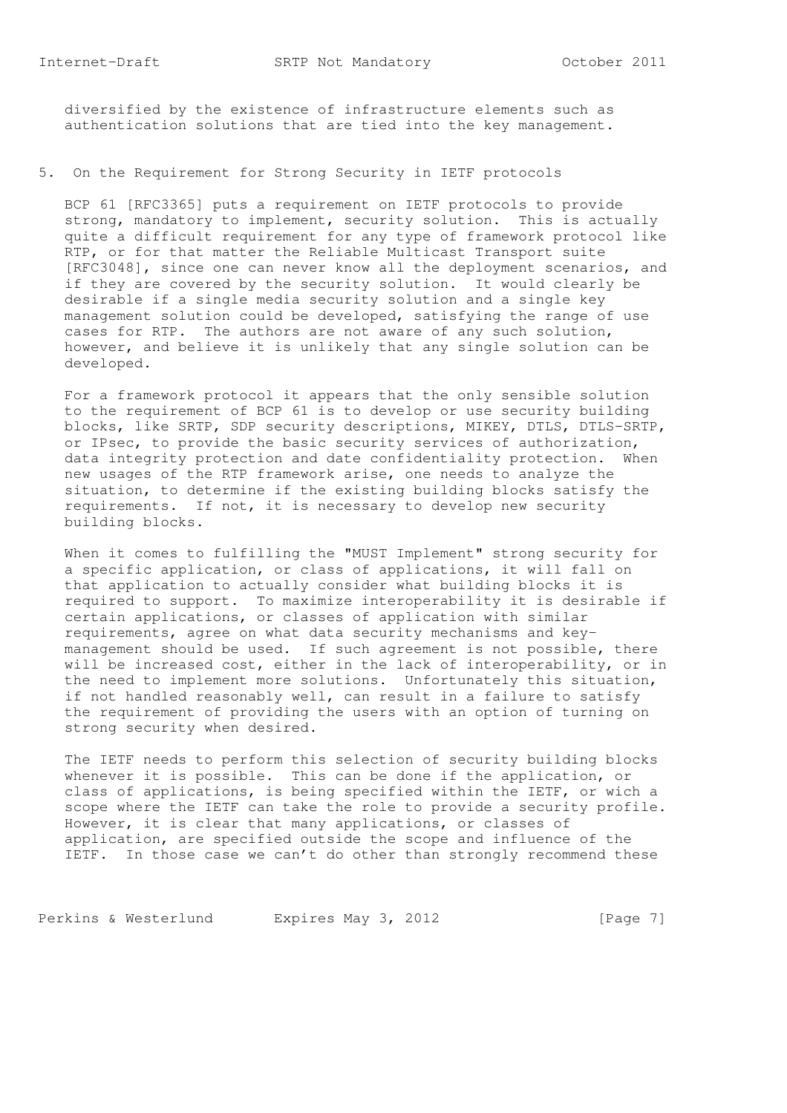diversified by the existence of infrastructure elements such as authentication solutions that are tied into the key management.

# 5. On the Requirement for Strong Security in IETF protocols

 BCP 61 [RFC3365] puts a requirement on IETF protocols to provide strong, mandatory to implement, security solution. This is actually quite a difficult requirement for any type of framework protocol like RTP, or for that matter the Reliable Multicast Transport suite [RFC3048], since one can never know all the deployment scenarios, and if they are covered by the security solution. It would clearly be desirable if a single media security solution and a single key management solution could be developed, satisfying the range of use cases for RTP. The authors are not aware of any such solution, however, and believe it is unlikely that any single solution can be developed.

 For a framework protocol it appears that the only sensible solution to the requirement of BCP 61 is to develop or use security building blocks, like SRTP, SDP security descriptions, MIKEY, DTLS, DTLS-SRTP, or IPsec, to provide the basic security services of authorization, data integrity protection and date confidentiality protection. When new usages of the RTP framework arise, one needs to analyze the situation, to determine if the existing building blocks satisfy the requirements. If not, it is necessary to develop new security building blocks.

 When it comes to fulfilling the "MUST Implement" strong security for a specific application, or class of applications, it will fall on that application to actually consider what building blocks it is required to support. To maximize interoperability it is desirable if certain applications, or classes of application with similar requirements, agree on what data security mechanisms and key management should be used. If such agreement is not possible, there will be increased cost, either in the lack of interoperability, or in the need to implement more solutions. Unfortunately this situation, if not handled reasonably well, can result in a failure to satisfy the requirement of providing the users with an option of turning on strong security when desired.

 The IETF needs to perform this selection of security building blocks whenever it is possible. This can be done if the application, or class of applications, is being specified within the IETF, or wich a scope where the IETF can take the role to provide a security profile. However, it is clear that many applications, or classes of application, are specified outside the scope and influence of the IETF. In those case we can't do other than strongly recommend these

Perkins & Westerlund Expires May 3, 2012 [Page 7]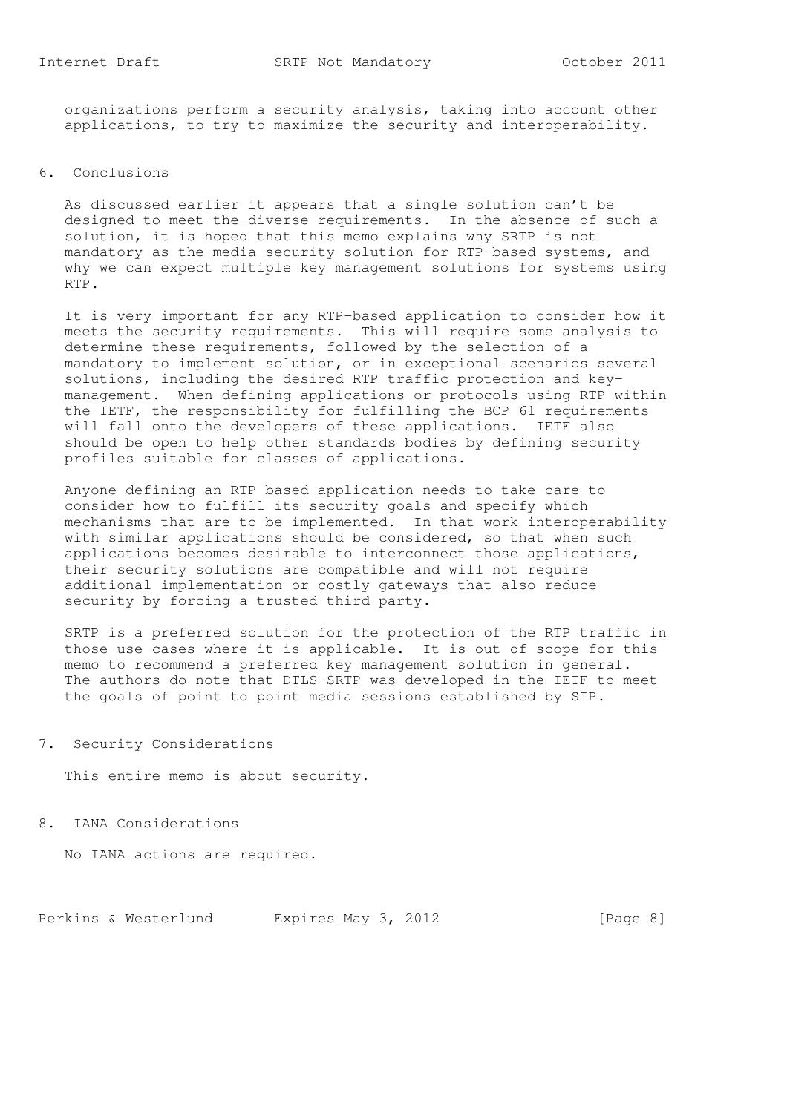organizations perform a security analysis, taking into account other applications, to try to maximize the security and interoperability.

#### 6. Conclusions

 As discussed earlier it appears that a single solution can't be designed to meet the diverse requirements. In the absence of such a solution, it is hoped that this memo explains why SRTP is not mandatory as the media security solution for RTP-based systems, and why we can expect multiple key management solutions for systems using RTP.

 It is very important for any RTP-based application to consider how it meets the security requirements. This will require some analysis to determine these requirements, followed by the selection of a mandatory to implement solution, or in exceptional scenarios several solutions, including the desired RTP traffic protection and key management. When defining applications or protocols using RTP within the IETF, the responsibility for fulfilling the BCP 61 requirements will fall onto the developers of these applications. IETF also should be open to help other standards bodies by defining security profiles suitable for classes of applications.

 Anyone defining an RTP based application needs to take care to consider how to fulfill its security goals and specify which mechanisms that are to be implemented. In that work interoperability with similar applications should be considered, so that when such applications becomes desirable to interconnect those applications, their security solutions are compatible and will not require additional implementation or costly gateways that also reduce security by forcing a trusted third party.

 SRTP is a preferred solution for the protection of the RTP traffic in those use cases where it is applicable. It is out of scope for this memo to recommend a preferred key management solution in general. The authors do note that DTLS-SRTP was developed in the IETF to meet the goals of point to point media sessions established by SIP.

7. Security Considerations

This entire memo is about security.

8. IANA Considerations

No IANA actions are required.

Perkins & Westerlund Expires May 3, 2012 [Page 8]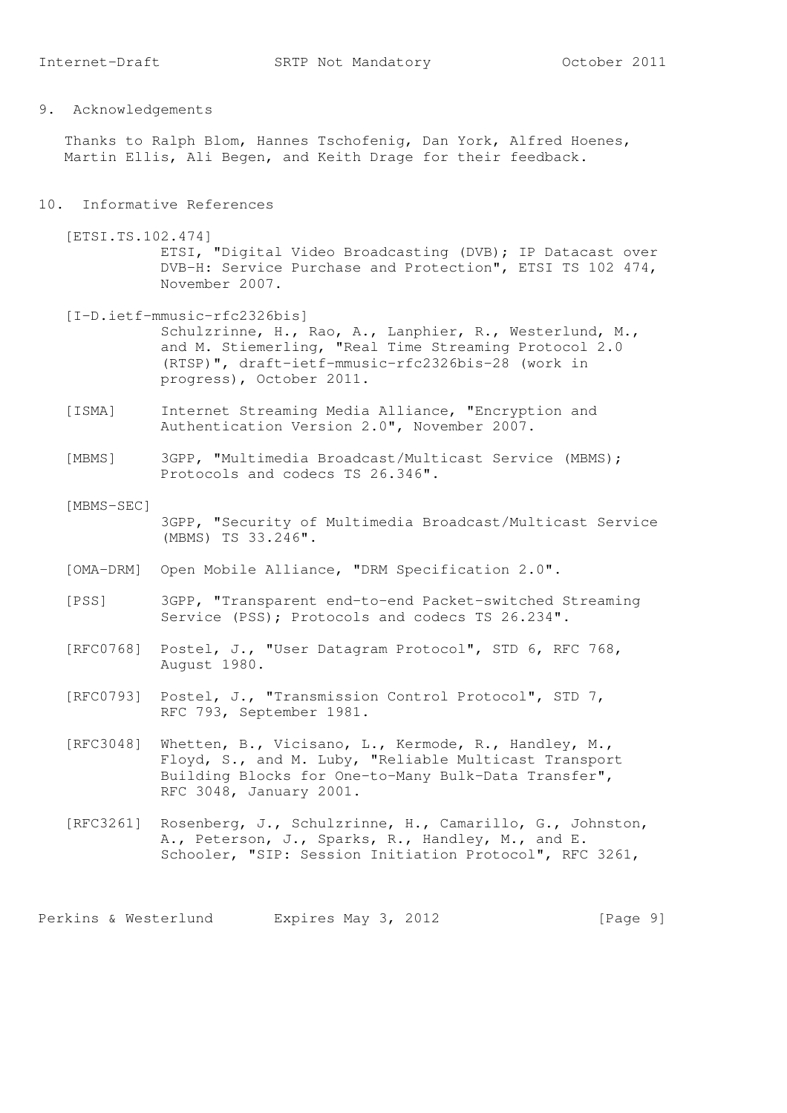9. Acknowledgements

 Thanks to Ralph Blom, Hannes Tschofenig, Dan York, Alfred Hoenes, Martin Ellis, Ali Begen, and Keith Drage for their feedback.

#### 10. Informative References

 [ETSI.TS.102.474] ETSI, "Digital Video Broadcasting (DVB); IP Datacast over DVB-H: Service Purchase and Protection", ETSI TS 102 474, November 2007.

- [I-D.ietf-mmusic-rfc2326bis] Schulzrinne, H., Rao, A., Lanphier, R., Westerlund, M., and M. Stiemerling, "Real Time Streaming Protocol 2.0 (RTSP)", draft-ietf-mmusic-rfc2326bis-28 (work in progress), October 2011.
- [ISMA] Internet Streaming Media Alliance, "Encryption and Authentication Version 2.0", November 2007.
- [MBMS] 3GPP, "Multimedia Broadcast/Multicast Service (MBMS); Protocols and codecs TS 26.346".
- [MBMS-SEC] 3GPP, "Security of Multimedia Broadcast/Multicast Service (MBMS) TS 33.246".
- [OMA-DRM] Open Mobile Alliance, "DRM Specification 2.0".
- [PSS] 3GPP, "Transparent end-to-end Packet-switched Streaming Service (PSS); Protocols and codecs TS 26.234".
- [RFC0768] Postel, J., "User Datagram Protocol", STD 6, RFC 768, August 1980.
- [RFC0793] Postel, J., "Transmission Control Protocol", STD 7, RFC 793, September 1981.
- [RFC3048] Whetten, B., Vicisano, L., Kermode, R., Handley, M., Floyd, S., and M. Luby, "Reliable Multicast Transport Building Blocks for One-to-Many Bulk-Data Transfer", RFC 3048, January 2001.
- [RFC3261] Rosenberg, J., Schulzrinne, H., Camarillo, G., Johnston, A., Peterson, J., Sparks, R., Handley, M., and E. Schooler, "SIP: Session Initiation Protocol", RFC 3261,

Perkins & Westerlund Expires May 3, 2012 [Page 9]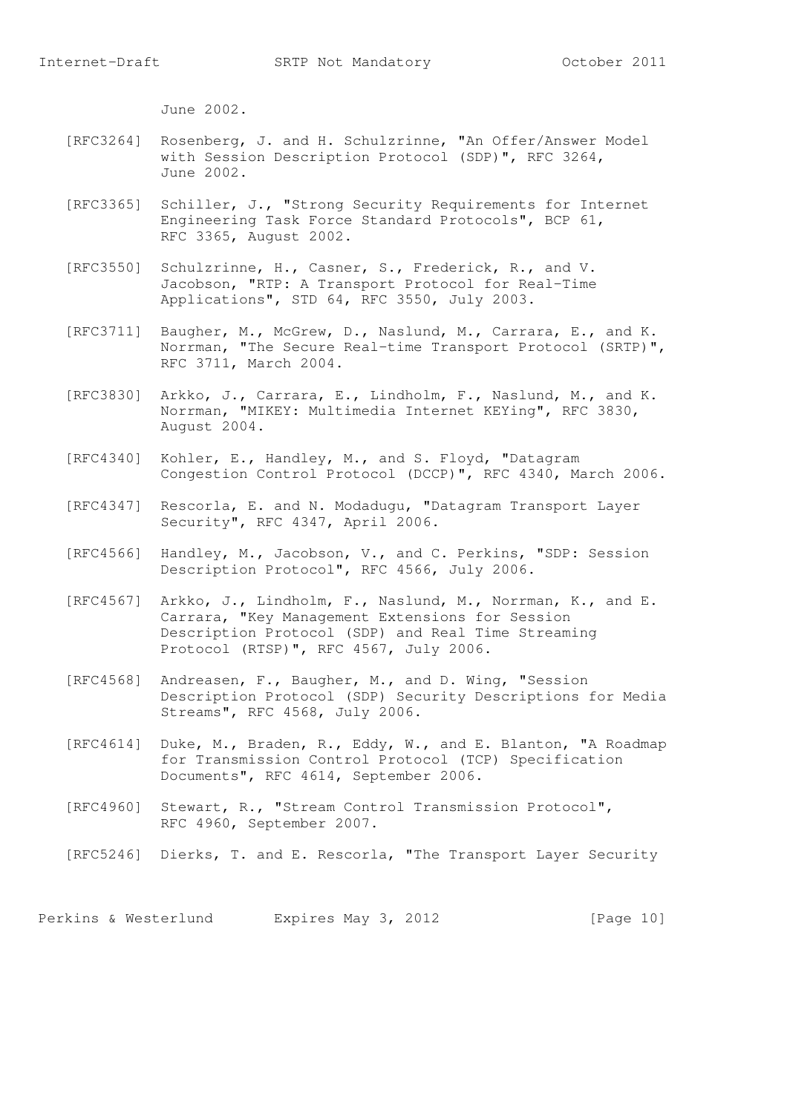June 2002.

- [RFC3264] Rosenberg, J. and H. Schulzrinne, "An Offer/Answer Model with Session Description Protocol (SDP)", RFC 3264, June 2002.
- [RFC3365] Schiller, J., "Strong Security Requirements for Internet Engineering Task Force Standard Protocols", BCP 61, RFC 3365, August 2002.
- [RFC3550] Schulzrinne, H., Casner, S., Frederick, R., and V. Jacobson, "RTP: A Transport Protocol for Real-Time Applications", STD 64, RFC 3550, July 2003.
- [RFC3711] Baugher, M., McGrew, D., Naslund, M., Carrara, E., and K. Norrman, "The Secure Real-time Transport Protocol (SRTP)", RFC 3711, March 2004.
	- [RFC3830] Arkko, J., Carrara, E., Lindholm, F., Naslund, M., and K. Norrman, "MIKEY: Multimedia Internet KEYing", RFC 3830, August 2004.
	- [RFC4340] Kohler, E., Handley, M., and S. Floyd, "Datagram Congestion Control Protocol (DCCP)", RFC 4340, March 2006.
	- [RFC4347] Rescorla, E. and N. Modadugu, "Datagram Transport Layer Security", RFC 4347, April 2006.
	- [RFC4566] Handley, M., Jacobson, V., and C. Perkins, "SDP: Session Description Protocol", RFC 4566, July 2006.
	- [RFC4567] Arkko, J., Lindholm, F., Naslund, M., Norrman, K., and E. Carrara, "Key Management Extensions for Session Description Protocol (SDP) and Real Time Streaming Protocol (RTSP)", RFC 4567, July 2006.
	- [RFC4568] Andreasen, F., Baugher, M., and D. Wing, "Session Description Protocol (SDP) Security Descriptions for Media Streams", RFC 4568, July 2006.
	- [RFC4614] Duke, M., Braden, R., Eddy, W., and E. Blanton, "A Roadmap for Transmission Control Protocol (TCP) Specification Documents", RFC 4614, September 2006.
	- [RFC4960] Stewart, R., "Stream Control Transmission Protocol", RFC 4960, September 2007.
	- [RFC5246] Dierks, T. and E. Rescorla, "The Transport Layer Security

Perkins & Westerlund Expires May 3, 2012 [Page 10]